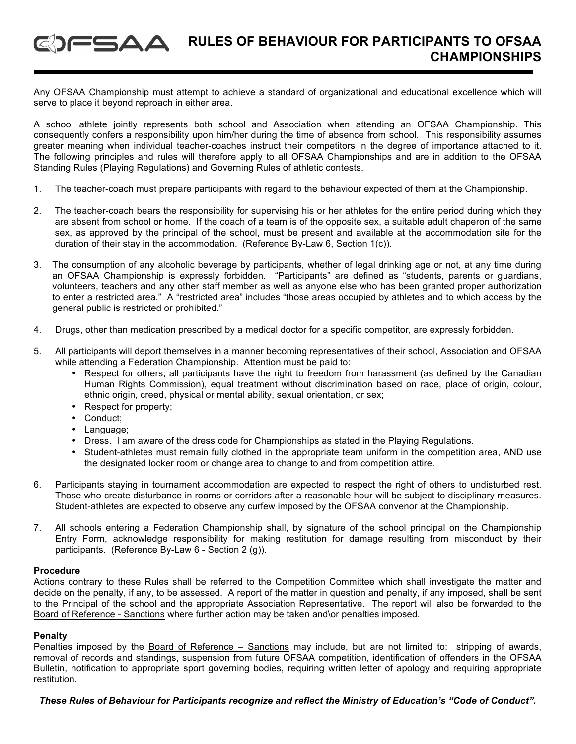#### **RULES OF BEHAVIOUR FOR PARTICIPANTS TO OFSAA**   $\mathsf{G}\mathsf{G}\mathsf{\Delta}\mathsf{\Delta}$ **CHAMPIONSHIPS**

Any OFSAA Championship must attempt to achieve a standard of organizational and educational excellence which will serve to place it beyond reproach in either area.

A school athlete jointly represents both school and Association when attending an OFSAA Championship. This consequently confers a responsibility upon him/her during the time of absence from school. This responsibility assumes greater meaning when individual teacher-coaches instruct their competitors in the degree of importance attached to it. The following principles and rules will therefore apply to all OFSAA Championships and are in addition to the OFSAA Standing Rules (Playing Regulations) and Governing Rules of athletic contests.

- 1. The teacher-coach must prepare participants with regard to the behaviour expected of them at the Championship.
- 2. The teacher-coach bears the responsibility for supervising his or her athletes for the entire period during which they are absent from school or home. If the coach of a team is of the opposite sex, a suitable adult chaperon of the same sex, as approved by the principal of the school, must be present and available at the accommodation site for the duration of their stay in the accommodation. (Reference By-Law 6, Section 1(c)).
- 3. The consumption of any alcoholic beverage by participants, whether of legal drinking age or not, at any time during an OFSAA Championship is expressly forbidden. "Participants" are defined as "students, parents or guardians, volunteers, teachers and any other staff member as well as anyone else who has been granted proper authorization to enter a restricted area." A "restricted area" includes "those areas occupied by athletes and to which access by the general public is restricted or prohibited."
- 4. Drugs, other than medication prescribed by a medical doctor for a specific competitor, are expressly forbidden.
- 5. All participants will deport themselves in a manner becoming representatives of their school, Association and OFSAA while attending a Federation Championship. Attention must be paid to:
	- Respect for others; all participants have the right to freedom from harassment (as defined by the Canadian Human Rights Commission), equal treatment without discrimination based on race, place of origin, colour, ethnic origin, creed, physical or mental ability, sexual orientation, or sex;
	- Respect for property;
	- Conduct;
	- Language;
	- Dress. I am aware of the dress code for Championships as stated in the Playing Regulations.
	- Student-athletes must remain fully clothed in the appropriate team uniform in the competition area, AND use the designated locker room or change area to change to and from competition attire.
- 6. Participants staying in tournament accommodation are expected to respect the right of others to undisturbed rest. Those who create disturbance in rooms or corridors after a reasonable hour will be subject to disciplinary measures. Student-athletes are expected to observe any curfew imposed by the OFSAA convenor at the Championship.
- 7. All schools entering a Federation Championship shall, by signature of the school principal on the Championship Entry Form, acknowledge responsibility for making restitution for damage resulting from misconduct by their participants. (Reference By-Law 6 - Section 2 (g)).

### **Procedure**

Actions contrary to these Rules shall be referred to the Competition Committee which shall investigate the matter and decide on the penalty, if any, to be assessed. A report of the matter in question and penalty, if any imposed, shall be sent to the Principal of the school and the appropriate Association Representative. The report will also be forwarded to the Board of Reference - Sanctions where further action may be taken and\or penalties imposed.

### **Penalty**

Penalties imposed by the Board of Reference – Sanctions may include, but are not limited to: stripping of awards, removal of records and standings, suspension from future OFSAA competition, identification of offenders in the OFSAA Bulletin, notification to appropriate sport governing bodies, requiring written letter of apology and requiring appropriate restitution.

*These Rules of Behaviour for Participants recognize and reflect the Ministry of Education's "Code of Conduct".*